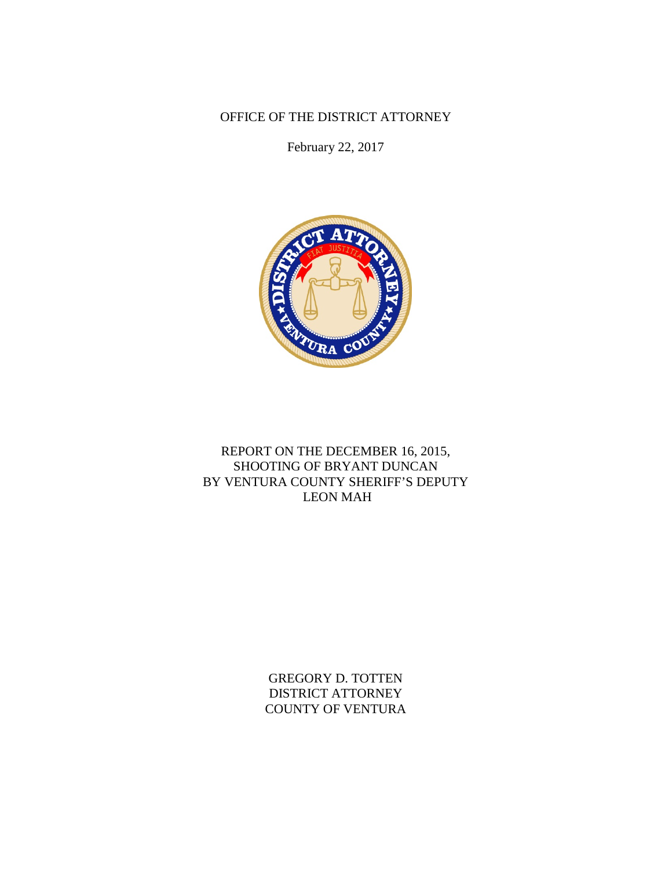OFFICE OF THE DISTRICT ATTORNEY

February 22, 2017



# REPORT ON THE DECEMBER 16, 2015, SHOOTING OF BRYANT DUNCAN BY VENTURA COUNTY SHERIFF'S DEPUTY LEON MAH

GREGORY D. TOTTEN DISTRICT ATTORNEY COUNTY OF VENTURA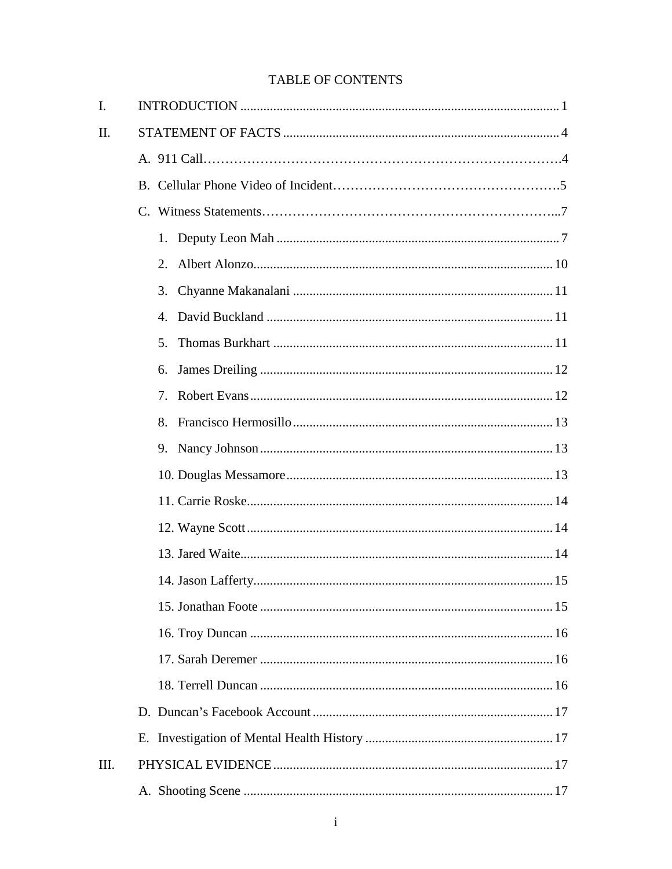# **TABLE OF CONTENTS**

| I.   |    |  |
|------|----|--|
| Π.   |    |  |
|      |    |  |
|      |    |  |
|      |    |  |
|      |    |  |
|      | 2. |  |
|      | 3. |  |
|      | 4. |  |
|      | 5. |  |
|      | 6. |  |
|      | 7. |  |
|      | 8. |  |
|      |    |  |
|      |    |  |
|      |    |  |
|      |    |  |
|      |    |  |
|      |    |  |
|      |    |  |
|      |    |  |
|      |    |  |
|      |    |  |
|      |    |  |
|      |    |  |
| III. |    |  |
|      |    |  |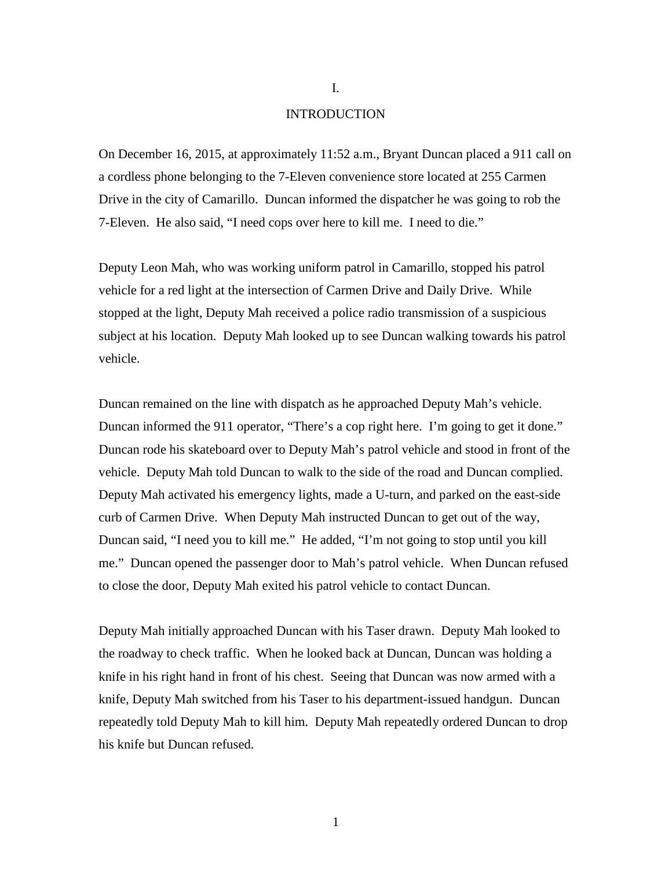#### **INTRODUCTION**

On December 16, 2015, at approximately 11:52 a.m., Bryant Duncan placed a 911 call on a cordless phone belonging to the 7-Eleven convenience store located at 255 Carmen Drive in the city of Camarillo. Duncan informed the dispatcher he was going to rob the 7-Eleven. He also said, "I need cops over here to kill me. I need to die."

Deputy Leon Mah, who was working uniform patrol in Camarillo, stopped his patrol vehicle for a red light at the intersection of Carmen Drive and Daily Drive. While stopped at the light, Deputy Mah received a police radio transmission of a suspicious subject at his location. Deputy Mah looked up to see Duncan walking towards his patrol vehicle.

Duncan remained on the line with dispatch as he approached Deputy Mah's vehicle. Duncan informed the 911 operator, "There's a cop right here. I'm going to get it done." Duncan rode his skateboard over to Deputy Mah's patrol vehicle and stood in front of the vehicle. Deputy Mah told Duncan to walk to the side of the road and Duncan complied. Deputy Mah activated his emergency lights, made a U-turn, and parked on the east-side curb of Carmen Drive. When Deputy Mah instructed Duncan to get out of the way, Duncan said, "I need you to kill me." He added, "I'm not going to stop until you kill me." Duncan opened the passenger door to Mah's patrol vehicle. When Duncan refused to close the door, Deputy Mah exited his patrol vehicle to contact Duncan.

Deputy Mah initially approached Duncan with his Taser drawn. Deputy Mah looked to the roadway to check traffic. When he looked back at Duncan, Duncan was holding a knife in his right hand in front of his chest. Seeing that Duncan was now armed with a knife, Deputy Mah switched from his Taser to his department-issued handgun. Duncan repeatedly told Deputy Mah to kill him. Deputy Mah repeatedly ordered Duncan to drop his knife but Duncan refused.

I.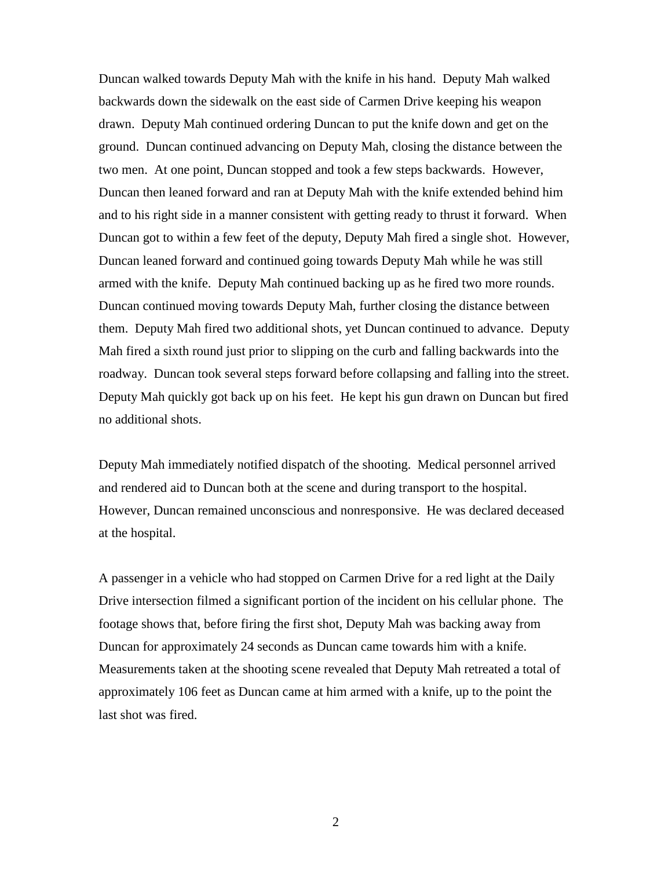Duncan walked towards Deputy Mah with the knife in his hand. Deputy Mah walked backwards down the sidewalk on the east side of Carmen Drive keeping his weapon drawn. Deputy Mah continued ordering Duncan to put the knife down and get on the ground. Duncan continued advancing on Deputy Mah, closing the distance between the two men. At one point, Duncan stopped and took a few steps backwards. However, Duncan then leaned forward and ran at Deputy Mah with the knife extended behind him and to his right side in a manner consistent with getting ready to thrust it forward. When Duncan got to within a few feet of the deputy, Deputy Mah fired a single shot. However, Duncan leaned forward and continued going towards Deputy Mah while he was still armed with the knife. Deputy Mah continued backing up as he fired two more rounds. Duncan continued moving towards Deputy Mah, further closing the distance between them. Deputy Mah fired two additional shots, yet Duncan continued to advance. Deputy Mah fired a sixth round just prior to slipping on the curb and falling backwards into the roadway. Duncan took several steps forward before collapsing and falling into the street. Deputy Mah quickly got back up on his feet. He kept his gun drawn on Duncan but fired no additional shots.

Deputy Mah immediately notified dispatch of the shooting. Medical personnel arrived and rendered aid to Duncan both at the scene and during transport to the hospital. However, Duncan remained unconscious and nonresponsive. He was declared deceased at the hospital.

A passenger in a vehicle who had stopped on Carmen Drive for a red light at the Daily Drive intersection filmed a significant portion of the incident on his cellular phone. The footage shows that, before firing the first shot, Deputy Mah was backing away from Duncan for approximately 24 seconds as Duncan came towards him with a knife. Measurements taken at the shooting scene revealed that Deputy Mah retreated a total of approximately 106 feet as Duncan came at him armed with a knife, up to the point the last shot was fired.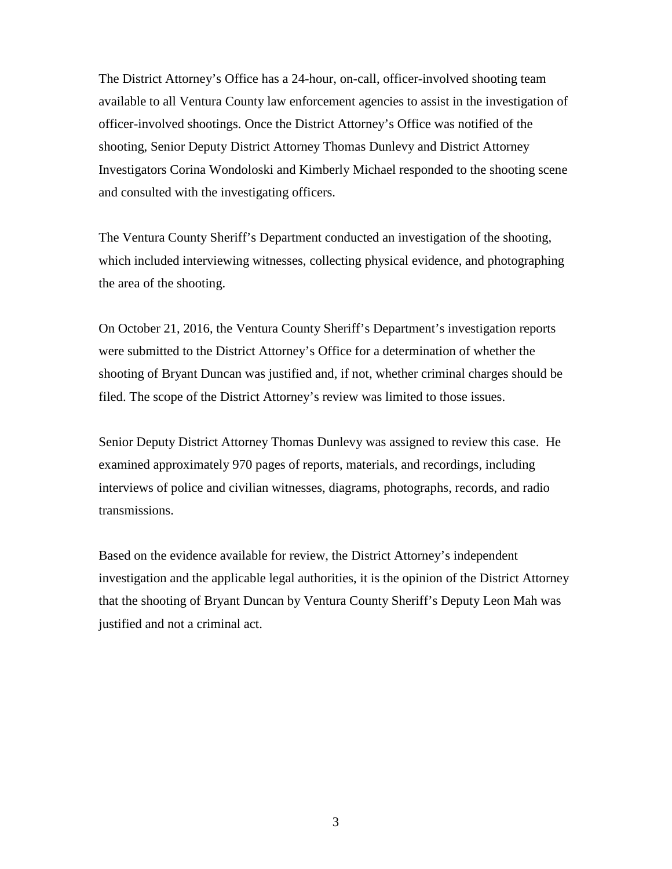The District Attorney's Office has a 24-hour, on-call, officer-involved shooting team available to all Ventura County law enforcement agencies to assist in the investigation of officer-involved shootings. Once the District Attorney's Office was notified of the shooting, Senior Deputy District Attorney Thomas Dunlevy and District Attorney Investigators Corina Wondoloski and Kimberly Michael responded to the shooting scene and consulted with the investigating officers.

The Ventura County Sheriff's Department conducted an investigation of the shooting, which included interviewing witnesses, collecting physical evidence, and photographing the area of the shooting.

On October 21, 2016, the Ventura County Sheriff's Department's investigation reports were submitted to the District Attorney's Office for a determination of whether the shooting of Bryant Duncan was justified and, if not, whether criminal charges should be filed. The scope of the District Attorney's review was limited to those issues.

Senior Deputy District Attorney Thomas Dunlevy was assigned to review this case. He examined approximately 970 pages of reports, materials, and recordings, including interviews of police and civilian witnesses, diagrams, photographs, records, and radio transmissions.

Based on the evidence available for review, the District Attorney's independent investigation and the applicable legal authorities, it is the opinion of the District Attorney that the shooting of Bryant Duncan by Ventura County Sheriff's Deputy Leon Mah was justified and not a criminal act.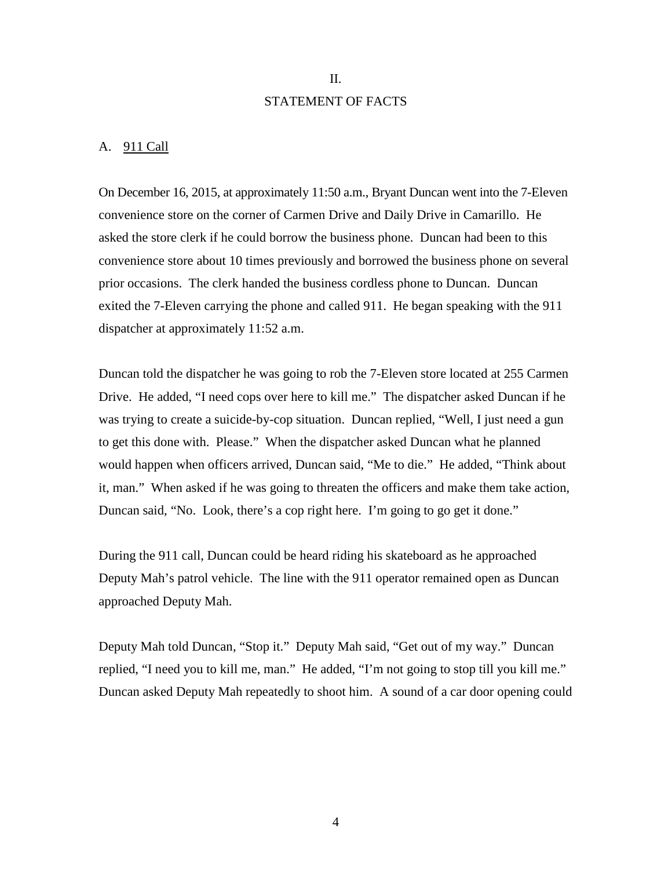# II. STATEMENT OF FACTS

### A. 911 Call

On December 16, 2015, at approximately 11:50 a.m., Bryant Duncan went into the 7-Eleven convenience store on the corner of Carmen Drive and Daily Drive in Camarillo. He asked the store clerk if he could borrow the business phone. Duncan had been to this convenience store about 10 times previously and borrowed the business phone on several prior occasions. The clerk handed the business cordless phone to Duncan. Duncan exited the 7-Eleven carrying the phone and called 911. He began speaking with the 911 dispatcher at approximately 11:52 a.m.

Duncan told the dispatcher he was going to rob the 7-Eleven store located at 255 Carmen Drive. He added, "I need cops over here to kill me." The dispatcher asked Duncan if he was trying to create a suicide-by-cop situation. Duncan replied, "Well, I just need a gun to get this done with. Please." When the dispatcher asked Duncan what he planned would happen when officers arrived, Duncan said, "Me to die." He added, "Think about it, man." When asked if he was going to threaten the officers and make them take action, Duncan said, "No. Look, there's a cop right here. I'm going to go get it done."

During the 911 call, Duncan could be heard riding his skateboard as he approached Deputy Mah's patrol vehicle. The line with the 911 operator remained open as Duncan approached Deputy Mah.

Deputy Mah told Duncan, "Stop it." Deputy Mah said, "Get out of my way." Duncan replied, "I need you to kill me, man." He added, "I'm not going to stop till you kill me." Duncan asked Deputy Mah repeatedly to shoot him. A sound of a car door opening could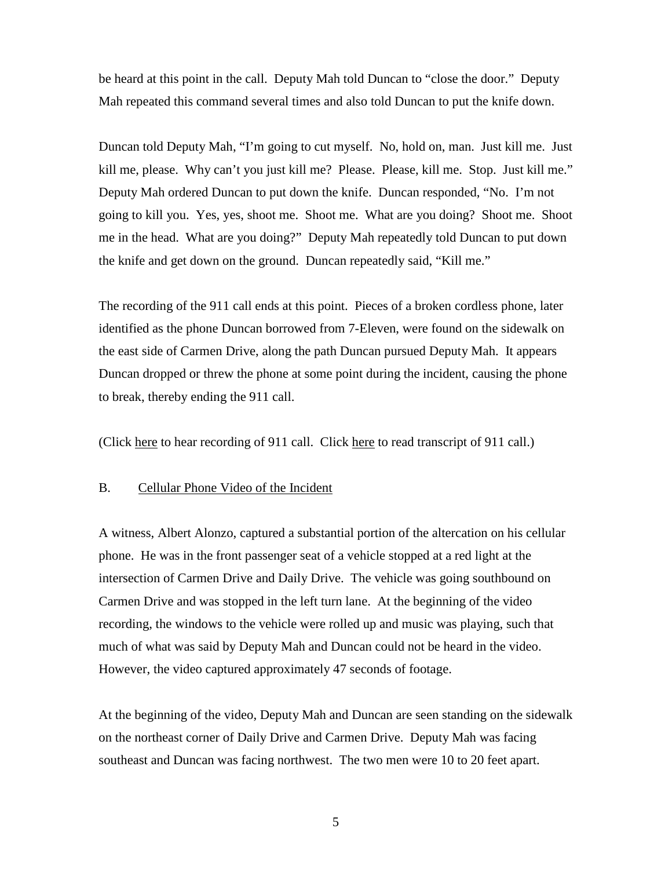be heard at this point in the call. Deputy Mah told Duncan to "close the door." Deputy Mah repeated this command several times and also told Duncan to put the knife down.

Duncan told Deputy Mah, "I'm going to cut myself. No, hold on, man. Just kill me. Just kill me, please. Why can't you just kill me? Please. Please, kill me. Stop. Just kill me." Deputy Mah ordered Duncan to put down the knife. Duncan responded, "No. I'm not going to kill you. Yes, yes, shoot me. Shoot me. What are you doing? Shoot me. Shoot me in the head. What are you doing?" Deputy Mah repeatedly told Duncan to put down the knife and get down on the ground. Duncan repeatedly said, "Kill me."

The recording of the 911 call ends at this point. Pieces of a broken cordless phone, later identified as the phone Duncan borrowed from 7-Eleven, were found on the sidewalk on the east side of Carmen Drive, along the path Duncan pursued Deputy Mah. It appears Duncan dropped or threw the phone at some point during the incident, causing the phone to break, thereby ending the 911 call.

(Click here to hear recording of 911 call. Click here to read transcript of 911 call.)

### B. Cellular Phone Video of the Incident

A witness, Albert Alonzo, captured a substantial portion of the altercation on his cellular phone. He was in the front passenger seat of a vehicle stopped at a red light at the intersection of Carmen Drive and Daily Drive. The vehicle was going southbound on Carmen Drive and was stopped in the left turn lane. At the beginning of the video recording, the windows to the vehicle were rolled up and music was playing, such that much of what was said by Deputy Mah and Duncan could not be heard in the video. However, the video captured approximately 47 seconds of footage.

At the beginning of the video, Deputy Mah and Duncan are seen standing on the sidewalk on the northeast corner of Daily Drive and Carmen Drive. Deputy Mah was facing southeast and Duncan was facing northwest. The two men were 10 to 20 feet apart.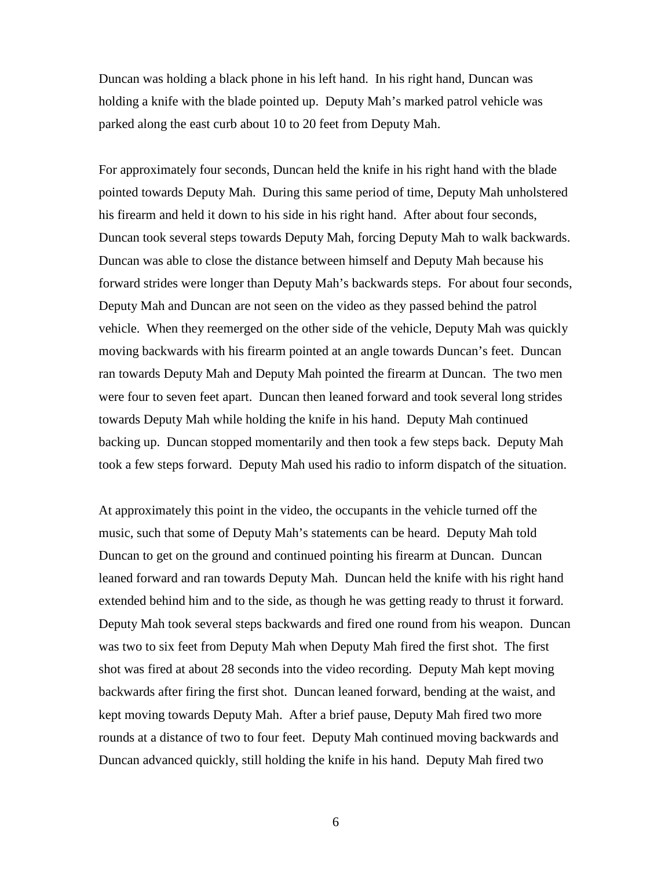Duncan was holding a black phone in his left hand. In his right hand, Duncan was holding a knife with the blade pointed up. Deputy Mah's marked patrol vehicle was parked along the east curb about 10 to 20 feet from Deputy Mah.

For approximately four seconds, Duncan held the knife in his right hand with the blade pointed towards Deputy Mah. During this same period of time, Deputy Mah unholstered his firearm and held it down to his side in his right hand. After about four seconds, Duncan took several steps towards Deputy Mah, forcing Deputy Mah to walk backwards. Duncan was able to close the distance between himself and Deputy Mah because his forward strides were longer than Deputy Mah's backwards steps. For about four seconds, Deputy Mah and Duncan are not seen on the video as they passed behind the patrol vehicle. When they reemerged on the other side of the vehicle, Deputy Mah was quickly moving backwards with his firearm pointed at an angle towards Duncan's feet. Duncan ran towards Deputy Mah and Deputy Mah pointed the firearm at Duncan. The two men were four to seven feet apart. Duncan then leaned forward and took several long strides towards Deputy Mah while holding the knife in his hand. Deputy Mah continued backing up. Duncan stopped momentarily and then took a few steps back. Deputy Mah took a few steps forward. Deputy Mah used his radio to inform dispatch of the situation.

At approximately this point in the video, the occupants in the vehicle turned off the music, such that some of Deputy Mah's statements can be heard. Deputy Mah told Duncan to get on the ground and continued pointing his firearm at Duncan. Duncan leaned forward and ran towards Deputy Mah. Duncan held the knife with his right hand extended behind him and to the side, as though he was getting ready to thrust it forward. Deputy Mah took several steps backwards and fired one round from his weapon. Duncan was two to six feet from Deputy Mah when Deputy Mah fired the first shot. The first shot was fired at about 28 seconds into the video recording. Deputy Mah kept moving backwards after firing the first shot. Duncan leaned forward, bending at the waist, and kept moving towards Deputy Mah. After a brief pause, Deputy Mah fired two more rounds at a distance of two to four feet. Deputy Mah continued moving backwards and Duncan advanced quickly, still holding the knife in his hand. Deputy Mah fired two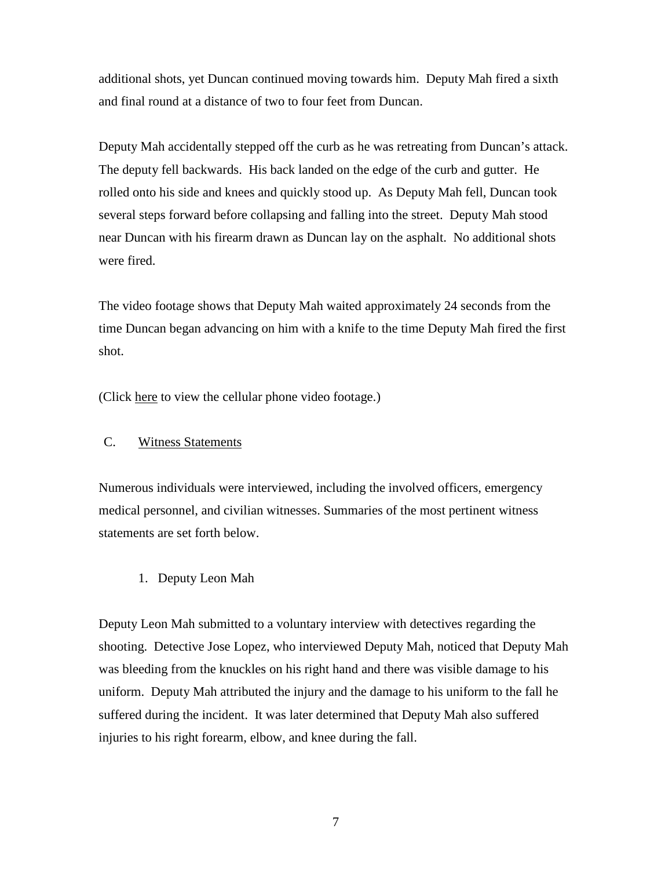additional shots, yet Duncan continued moving towards him. Deputy Mah fired a sixth and final round at a distance of two to four feet from Duncan.

Deputy Mah accidentally stepped off the curb as he was retreating from Duncan's attack. The deputy fell backwards. His back landed on the edge of the curb and gutter. He rolled onto his side and knees and quickly stood up. As Deputy Mah fell, Duncan took several steps forward before collapsing and falling into the street. Deputy Mah stood near Duncan with his firearm drawn as Duncan lay on the asphalt. No additional shots were fired.

The video footage shows that Deputy Mah waited approximately 24 seconds from the time Duncan began advancing on him with a knife to the time Deputy Mah fired the first shot.

(Click here to view the cellular phone video footage.)

## C. Witness Statements

Numerous individuals were interviewed, including the involved officers, emergency medical personnel, and civilian witnesses. Summaries of the most pertinent witness statements are set forth below.

1. Deputy Leon Mah

Deputy Leon Mah submitted to a voluntary interview with detectives regarding the shooting. Detective Jose Lopez, who interviewed Deputy Mah, noticed that Deputy Mah was bleeding from the knuckles on his right hand and there was visible damage to his uniform. Deputy Mah attributed the injury and the damage to his uniform to the fall he suffered during the incident. It was later determined that Deputy Mah also suffered injuries to his right forearm, elbow, and knee during the fall.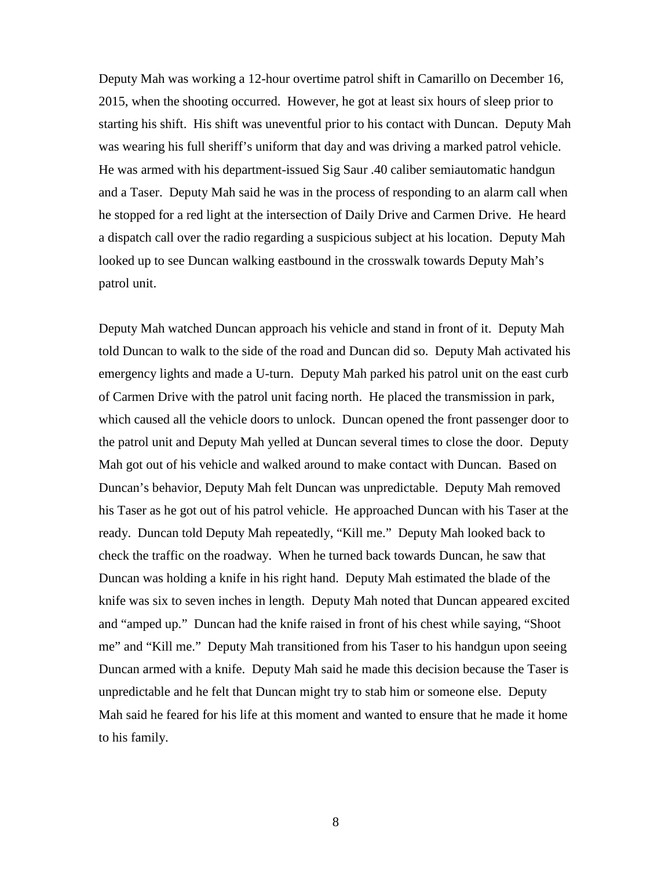Deputy Mah was working a 12-hour overtime patrol shift in Camarillo on December 16, 2015, when the shooting occurred. However, he got at least six hours of sleep prior to starting his shift. His shift was uneventful prior to his contact with Duncan. Deputy Mah was wearing his full sheriff's uniform that day and was driving a marked patrol vehicle. He was armed with his department-issued Sig Saur .40 caliber semiautomatic handgun and a Taser. Deputy Mah said he was in the process of responding to an alarm call when he stopped for a red light at the intersection of Daily Drive and Carmen Drive. He heard a dispatch call over the radio regarding a suspicious subject at his location. Deputy Mah looked up to see Duncan walking eastbound in the crosswalk towards Deputy Mah's patrol unit.

Deputy Mah watched Duncan approach his vehicle and stand in front of it. Deputy Mah told Duncan to walk to the side of the road and Duncan did so. Deputy Mah activated his emergency lights and made a U-turn. Deputy Mah parked his patrol unit on the east curb of Carmen Drive with the patrol unit facing north. He placed the transmission in park, which caused all the vehicle doors to unlock. Duncan opened the front passenger door to the patrol unit and Deputy Mah yelled at Duncan several times to close the door. Deputy Mah got out of his vehicle and walked around to make contact with Duncan. Based on Duncan's behavior, Deputy Mah felt Duncan was unpredictable. Deputy Mah removed his Taser as he got out of his patrol vehicle. He approached Duncan with his Taser at the ready. Duncan told Deputy Mah repeatedly, "Kill me." Deputy Mah looked back to check the traffic on the roadway. When he turned back towards Duncan, he saw that Duncan was holding a knife in his right hand. Deputy Mah estimated the blade of the knife was six to seven inches in length. Deputy Mah noted that Duncan appeared excited and "amped up." Duncan had the knife raised in front of his chest while saying, "Shoot me" and "Kill me." Deputy Mah transitioned from his Taser to his handgun upon seeing Duncan armed with a knife. Deputy Mah said he made this decision because the Taser is unpredictable and he felt that Duncan might try to stab him or someone else. Deputy Mah said he feared for his life at this moment and wanted to ensure that he made it home to his family.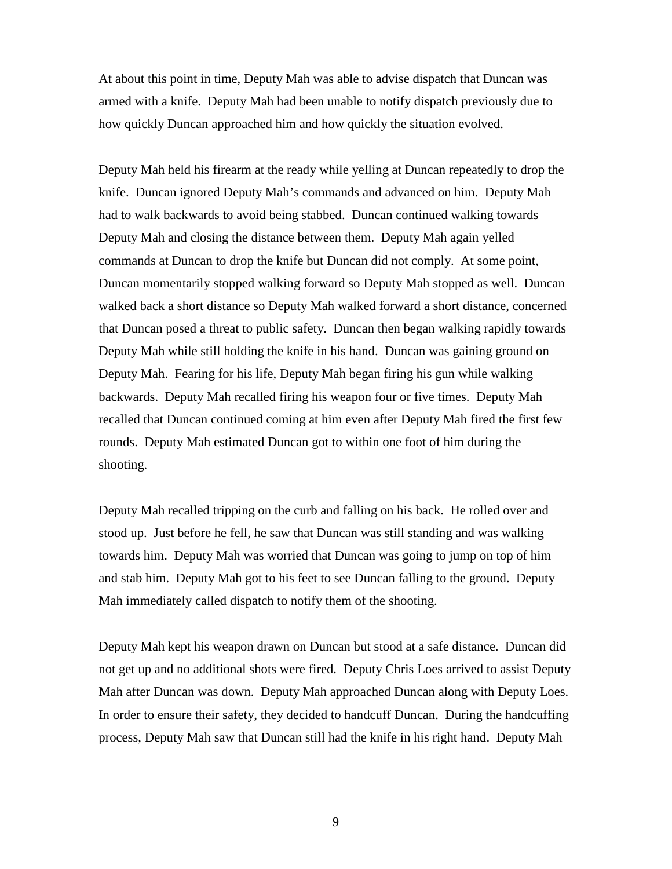At about this point in time, Deputy Mah was able to advise dispatch that Duncan was armed with a knife. Deputy Mah had been unable to notify dispatch previously due to how quickly Duncan approached him and how quickly the situation evolved.

Deputy Mah held his firearm at the ready while yelling at Duncan repeatedly to drop the knife. Duncan ignored Deputy Mah's commands and advanced on him. Deputy Mah had to walk backwards to avoid being stabbed. Duncan continued walking towards Deputy Mah and closing the distance between them. Deputy Mah again yelled commands at Duncan to drop the knife but Duncan did not comply. At some point, Duncan momentarily stopped walking forward so Deputy Mah stopped as well. Duncan walked back a short distance so Deputy Mah walked forward a short distance, concerned that Duncan posed a threat to public safety. Duncan then began walking rapidly towards Deputy Mah while still holding the knife in his hand. Duncan was gaining ground on Deputy Mah. Fearing for his life, Deputy Mah began firing his gun while walking backwards. Deputy Mah recalled firing his weapon four or five times. Deputy Mah recalled that Duncan continued coming at him even after Deputy Mah fired the first few rounds. Deputy Mah estimated Duncan got to within one foot of him during the shooting.

Deputy Mah recalled tripping on the curb and falling on his back. He rolled over and stood up. Just before he fell, he saw that Duncan was still standing and was walking towards him. Deputy Mah was worried that Duncan was going to jump on top of him and stab him. Deputy Mah got to his feet to see Duncan falling to the ground. Deputy Mah immediately called dispatch to notify them of the shooting.

Deputy Mah kept his weapon drawn on Duncan but stood at a safe distance. Duncan did not get up and no additional shots were fired. Deputy Chris Loes arrived to assist Deputy Mah after Duncan was down. Deputy Mah approached Duncan along with Deputy Loes. In order to ensure their safety, they decided to handcuff Duncan. During the handcuffing process, Deputy Mah saw that Duncan still had the knife in his right hand. Deputy Mah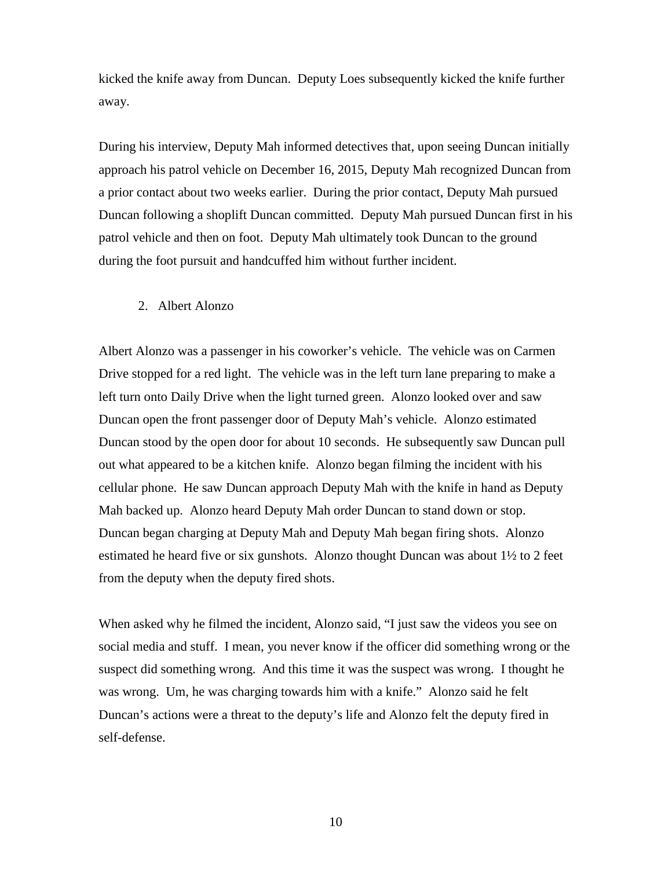kicked the knife away from Duncan. Deputy Loes subsequently kicked the knife further away.

During his interview, Deputy Mah informed detectives that, upon seeing Duncan initially approach his patrol vehicle on December 16, 2015, Deputy Mah recognized Duncan from a prior contact about two weeks earlier. During the prior contact, Deputy Mah pursued Duncan following a shoplift Duncan committed. Deputy Mah pursued Duncan first in his patrol vehicle and then on foot. Deputy Mah ultimately took Duncan to the ground during the foot pursuit and handcuffed him without further incident.

#### 2. Albert Alonzo

Albert Alonzo was a passenger in his coworker's vehicle. The vehicle was on Carmen Drive stopped for a red light. The vehicle was in the left turn lane preparing to make a left turn onto Daily Drive when the light turned green. Alonzo looked over and saw Duncan open the front passenger door of Deputy Mah's vehicle. Alonzo estimated Duncan stood by the open door for about 10 seconds. He subsequently saw Duncan pull out what appeared to be a kitchen knife. Alonzo began filming the incident with his cellular phone. He saw Duncan approach Deputy Mah with the knife in hand as Deputy Mah backed up. Alonzo heard Deputy Mah order Duncan to stand down or stop. Duncan began charging at Deputy Mah and Deputy Mah began firing shots. Alonzo estimated he heard five or six gunshots. Alonzo thought Duncan was about 1½ to 2 feet from the deputy when the deputy fired shots.

When asked why he filmed the incident, Alonzo said, "I just saw the videos you see on social media and stuff. I mean, you never know if the officer did something wrong or the suspect did something wrong. And this time it was the suspect was wrong. I thought he was wrong. Um, he was charging towards him with a knife." Alonzo said he felt Duncan's actions were a threat to the deputy's life and Alonzo felt the deputy fired in self-defense.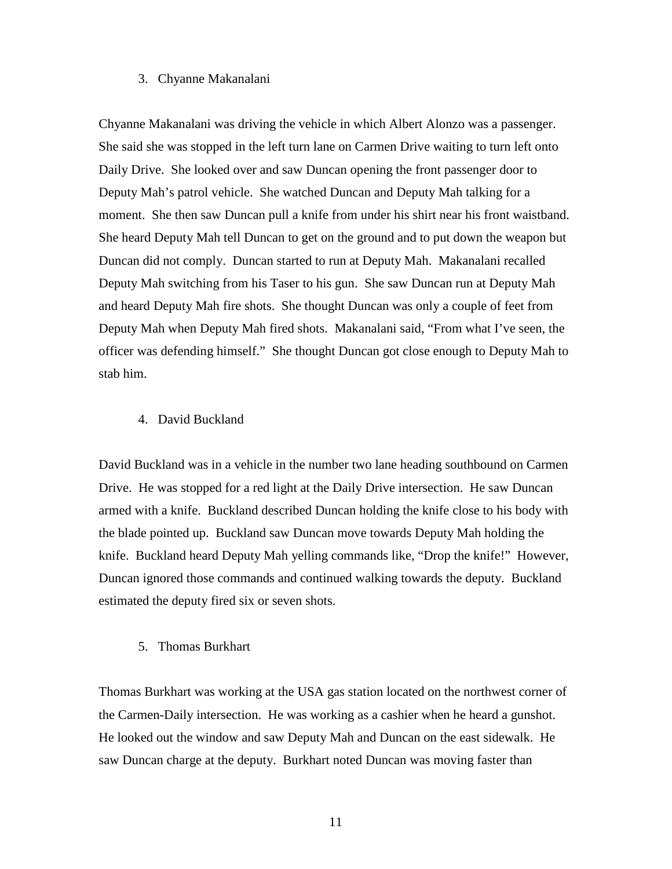## 3. Chyanne Makanalani

Chyanne Makanalani was driving the vehicle in which Albert Alonzo was a passenger. She said she was stopped in the left turn lane on Carmen Drive waiting to turn left onto Daily Drive. She looked over and saw Duncan opening the front passenger door to Deputy Mah's patrol vehicle. She watched Duncan and Deputy Mah talking for a moment. She then saw Duncan pull a knife from under his shirt near his front waistband. She heard Deputy Mah tell Duncan to get on the ground and to put down the weapon but Duncan did not comply. Duncan started to run at Deputy Mah. Makanalani recalled Deputy Mah switching from his Taser to his gun. She saw Duncan run at Deputy Mah and heard Deputy Mah fire shots. She thought Duncan was only a couple of feet from Deputy Mah when Deputy Mah fired shots. Makanalani said, "From what I've seen, the officer was defending himself." She thought Duncan got close enough to Deputy Mah to stab him.

### 4. David Buckland

David Buckland was in a vehicle in the number two lane heading southbound on Carmen Drive. He was stopped for a red light at the Daily Drive intersection. He saw Duncan armed with a knife. Buckland described Duncan holding the knife close to his body with the blade pointed up. Buckland saw Duncan move towards Deputy Mah holding the knife. Buckland heard Deputy Mah yelling commands like, "Drop the knife!" However, Duncan ignored those commands and continued walking towards the deputy. Buckland estimated the deputy fired six or seven shots.

#### 5. Thomas Burkhart

Thomas Burkhart was working at the USA gas station located on the northwest corner of the Carmen-Daily intersection. He was working as a cashier when he heard a gunshot. He looked out the window and saw Deputy Mah and Duncan on the east sidewalk. He saw Duncan charge at the deputy. Burkhart noted Duncan was moving faster than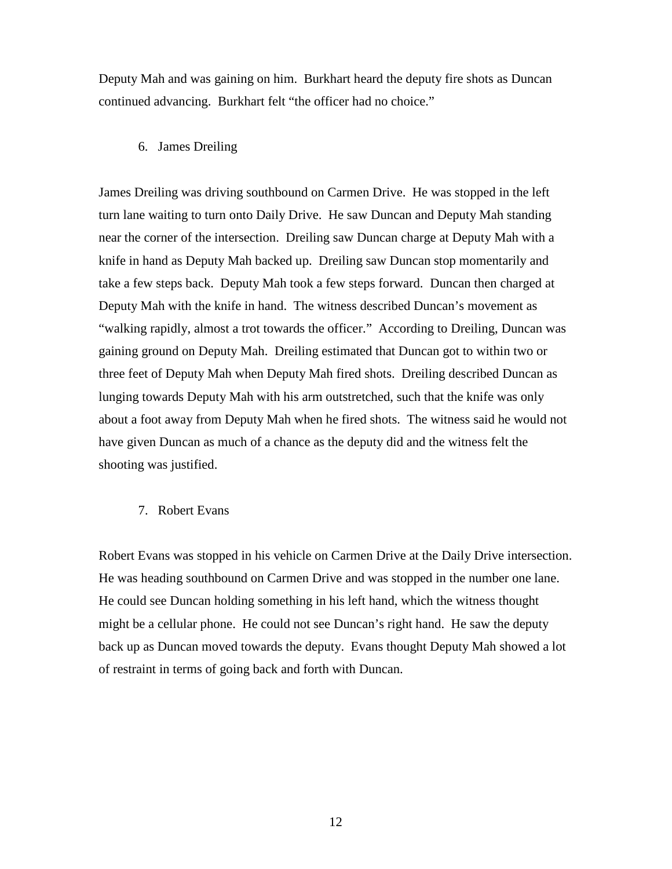Deputy Mah and was gaining on him. Burkhart heard the deputy fire shots as Duncan continued advancing. Burkhart felt "the officer had no choice."

### 6. James Dreiling

James Dreiling was driving southbound on Carmen Drive. He was stopped in the left turn lane waiting to turn onto Daily Drive. He saw Duncan and Deputy Mah standing near the corner of the intersection. Dreiling saw Duncan charge at Deputy Mah with a knife in hand as Deputy Mah backed up. Dreiling saw Duncan stop momentarily and take a few steps back. Deputy Mah took a few steps forward. Duncan then charged at Deputy Mah with the knife in hand. The witness described Duncan's movement as "walking rapidly, almost a trot towards the officer." According to Dreiling, Duncan was gaining ground on Deputy Mah. Dreiling estimated that Duncan got to within two or three feet of Deputy Mah when Deputy Mah fired shots. Dreiling described Duncan as lunging towards Deputy Mah with his arm outstretched, such that the knife was only about a foot away from Deputy Mah when he fired shots. The witness said he would not have given Duncan as much of a chance as the deputy did and the witness felt the shooting was justified.

#### 7. Robert Evans

Robert Evans was stopped in his vehicle on Carmen Drive at the Daily Drive intersection. He was heading southbound on Carmen Drive and was stopped in the number one lane. He could see Duncan holding something in his left hand, which the witness thought might be a cellular phone. He could not see Duncan's right hand. He saw the deputy back up as Duncan moved towards the deputy. Evans thought Deputy Mah showed a lot of restraint in terms of going back and forth with Duncan.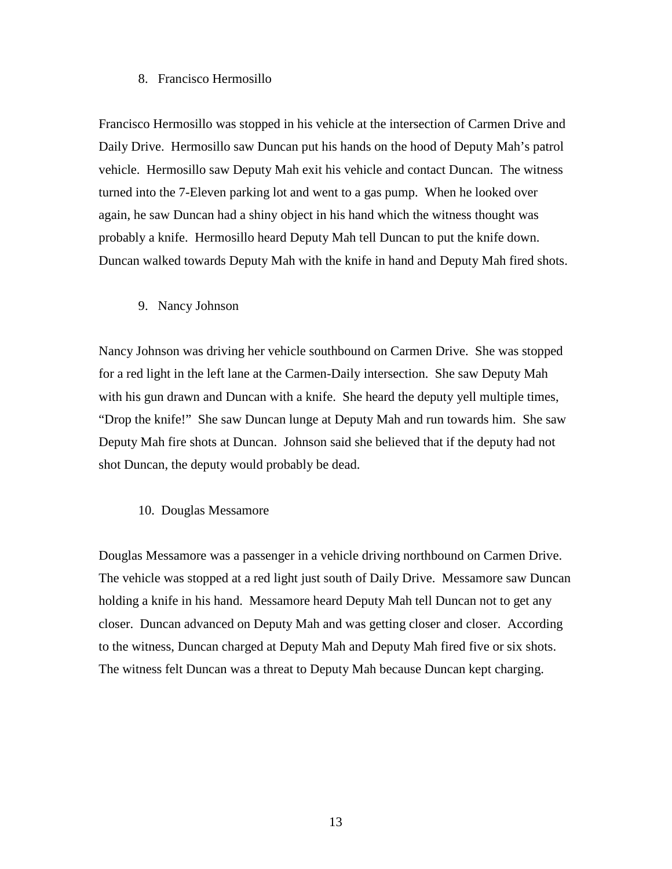### 8. Francisco Hermosillo

Francisco Hermosillo was stopped in his vehicle at the intersection of Carmen Drive and Daily Drive. Hermosillo saw Duncan put his hands on the hood of Deputy Mah's patrol vehicle. Hermosillo saw Deputy Mah exit his vehicle and contact Duncan. The witness turned into the 7-Eleven parking lot and went to a gas pump. When he looked over again, he saw Duncan had a shiny object in his hand which the witness thought was probably a knife. Hermosillo heard Deputy Mah tell Duncan to put the knife down. Duncan walked towards Deputy Mah with the knife in hand and Deputy Mah fired shots.

#### 9. Nancy Johnson

Nancy Johnson was driving her vehicle southbound on Carmen Drive. She was stopped for a red light in the left lane at the Carmen-Daily intersection. She saw Deputy Mah with his gun drawn and Duncan with a knife. She heard the deputy yell multiple times, "Drop the knife!" She saw Duncan lunge at Deputy Mah and run towards him. She saw Deputy Mah fire shots at Duncan. Johnson said she believed that if the deputy had not shot Duncan, the deputy would probably be dead.

## 10. Douglas Messamore

Douglas Messamore was a passenger in a vehicle driving northbound on Carmen Drive. The vehicle was stopped at a red light just south of Daily Drive. Messamore saw Duncan holding a knife in his hand. Messamore heard Deputy Mah tell Duncan not to get any closer. Duncan advanced on Deputy Mah and was getting closer and closer. According to the witness, Duncan charged at Deputy Mah and Deputy Mah fired five or six shots. The witness felt Duncan was a threat to Deputy Mah because Duncan kept charging.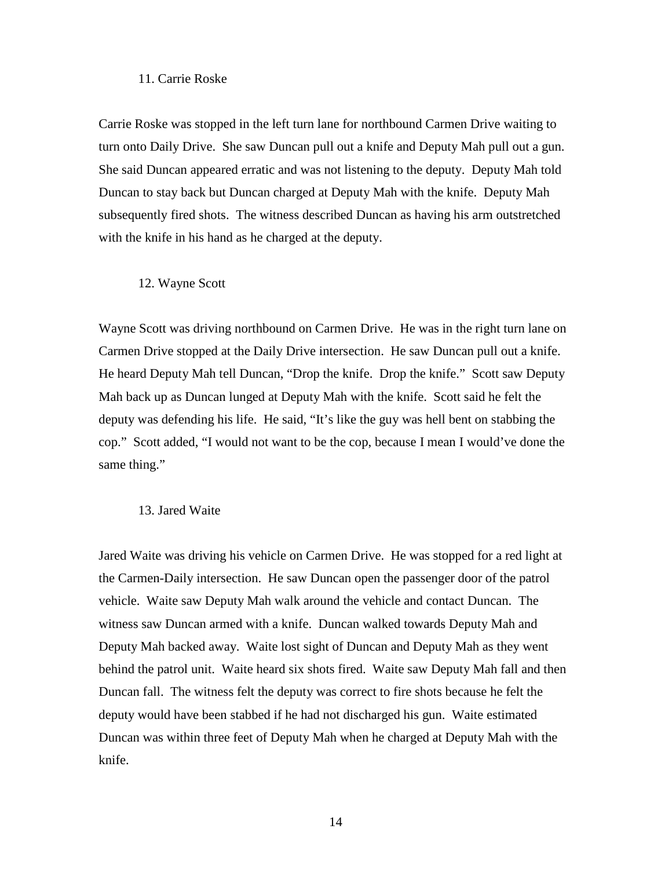#### 11. Carrie Roske

Carrie Roske was stopped in the left turn lane for northbound Carmen Drive waiting to turn onto Daily Drive. She saw Duncan pull out a knife and Deputy Mah pull out a gun. She said Duncan appeared erratic and was not listening to the deputy. Deputy Mah told Duncan to stay back but Duncan charged at Deputy Mah with the knife. Deputy Mah subsequently fired shots. The witness described Duncan as having his arm outstretched with the knife in his hand as he charged at the deputy.

#### 12. Wayne Scott

Wayne Scott was driving northbound on Carmen Drive. He was in the right turn lane on Carmen Drive stopped at the Daily Drive intersection. He saw Duncan pull out a knife. He heard Deputy Mah tell Duncan, "Drop the knife. Drop the knife." Scott saw Deputy Mah back up as Duncan lunged at Deputy Mah with the knife. Scott said he felt the deputy was defending his life. He said, "It's like the guy was hell bent on stabbing the cop." Scott added, "I would not want to be the cop, because I mean I would've done the same thing."

#### 13. Jared Waite

Jared Waite was driving his vehicle on Carmen Drive. He was stopped for a red light at the Carmen-Daily intersection. He saw Duncan open the passenger door of the patrol vehicle. Waite saw Deputy Mah walk around the vehicle and contact Duncan. The witness saw Duncan armed with a knife. Duncan walked towards Deputy Mah and Deputy Mah backed away. Waite lost sight of Duncan and Deputy Mah as they went behind the patrol unit. Waite heard six shots fired. Waite saw Deputy Mah fall and then Duncan fall. The witness felt the deputy was correct to fire shots because he felt the deputy would have been stabbed if he had not discharged his gun. Waite estimated Duncan was within three feet of Deputy Mah when he charged at Deputy Mah with the knife.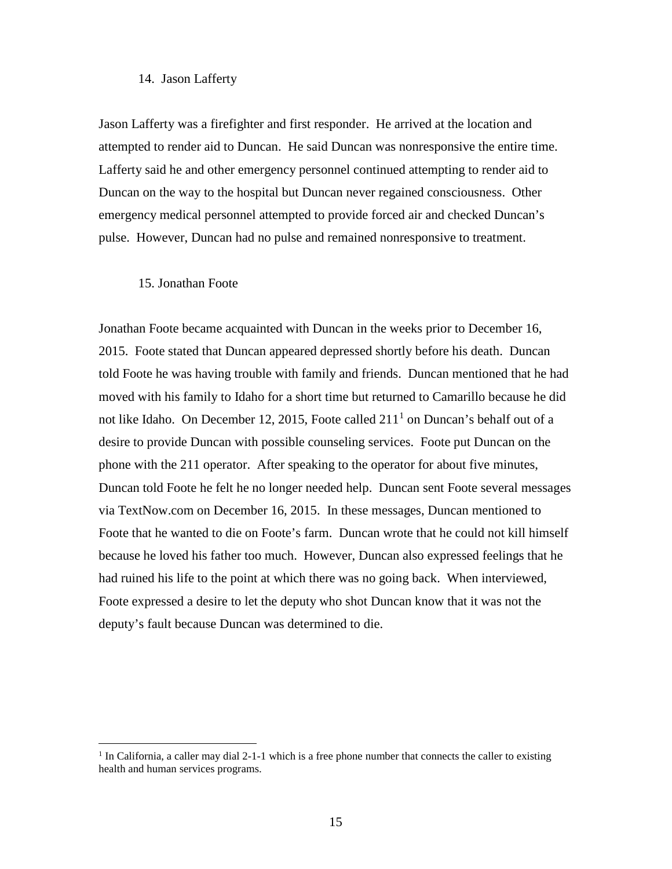### 14. Jason Lafferty

Jason Lafferty was a firefighter and first responder. He arrived at the location and attempted to render aid to Duncan. He said Duncan was nonresponsive the entire time. Lafferty said he and other emergency personnel continued attempting to render aid to Duncan on the way to the hospital but Duncan never regained consciousness. Other emergency medical personnel attempted to provide forced air and checked Duncan's pulse. However, Duncan had no pulse and remained nonresponsive to treatment.

#### 15. Jonathan Foote

Jonathan Foote became acquainted with Duncan in the weeks prior to December 16, 2015. Foote stated that Duncan appeared depressed shortly before his death. Duncan told Foote he was having trouble with family and friends. Duncan mentioned that he had moved with his family to Idaho for a short time but returned to Camarillo because he did not like Idaho. On December [1](#page-17-0)2, 2015, Foote called  $211<sup>1</sup>$  on Duncan's behalf out of a desire to provide Duncan with possible counseling services. Foote put Duncan on the phone with the 211 operator. After speaking to the operator for about five minutes, Duncan told Foote he felt he no longer needed help. Duncan sent Foote several messages via TextNow.com on December 16, 2015. In these messages, Duncan mentioned to Foote that he wanted to die on Foote's farm. Duncan wrote that he could not kill himself because he loved his father too much. However, Duncan also expressed feelings that he had ruined his life to the point at which there was no going back. When interviewed, Foote expressed a desire to let the deputy who shot Duncan know that it was not the deputy's fault because Duncan was determined to die.

<span id="page-17-0"></span> $<sup>1</sup>$  In California, a caller may dial 2-1-1 which is a free phone number that connects the caller to existing</sup> health and human services programs.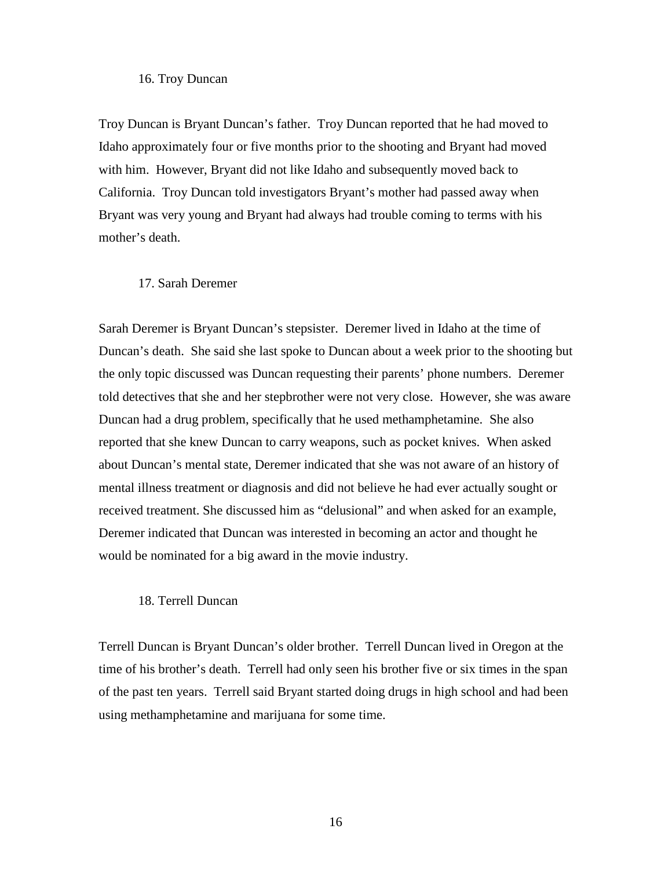### 16. Troy Duncan

Troy Duncan is Bryant Duncan's father. Troy Duncan reported that he had moved to Idaho approximately four or five months prior to the shooting and Bryant had moved with him. However, Bryant did not like Idaho and subsequently moved back to California. Troy Duncan told investigators Bryant's mother had passed away when Bryant was very young and Bryant had always had trouble coming to terms with his mother's death.

### 17. Sarah Deremer

Sarah Deremer is Bryant Duncan's stepsister. Deremer lived in Idaho at the time of Duncan's death. She said she last spoke to Duncan about a week prior to the shooting but the only topic discussed was Duncan requesting their parents' phone numbers. Deremer told detectives that she and her stepbrother were not very close. However, she was aware Duncan had a drug problem, specifically that he used methamphetamine. She also reported that she knew Duncan to carry weapons, such as pocket knives. When asked about Duncan's mental state, Deremer indicated that she was not aware of an history of mental illness treatment or diagnosis and did not believe he had ever actually sought or received treatment. She discussed him as "delusional" and when asked for an example, Deremer indicated that Duncan was interested in becoming an actor and thought he would be nominated for a big award in the movie industry.

#### 18. Terrell Duncan

Terrell Duncan is Bryant Duncan's older brother. Terrell Duncan lived in Oregon at the time of his brother's death. Terrell had only seen his brother five or six times in the span of the past ten years. Terrell said Bryant started doing drugs in high school and had been using methamphetamine and marijuana for some time.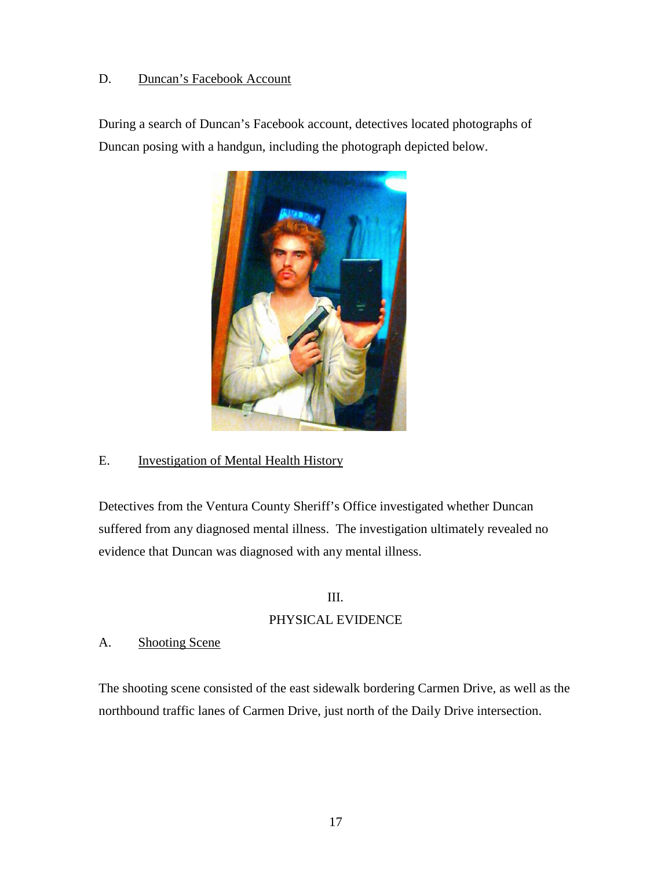# D. Duncan's Facebook Account

During a search of Duncan's Facebook account, detectives located photographs of Duncan posing with a handgun, including the photograph depicted below.



## E. Investigation of Mental Health History

Detectives from the Ventura County Sheriff's Office investigated whether Duncan suffered from any diagnosed mental illness. The investigation ultimately revealed no evidence that Duncan was diagnosed with any mental illness.

# III.

# PHYSICAL EVIDENCE

# A. Shooting Scene

The shooting scene consisted of the east sidewalk bordering Carmen Drive, as well as the northbound traffic lanes of Carmen Drive, just north of the Daily Drive intersection.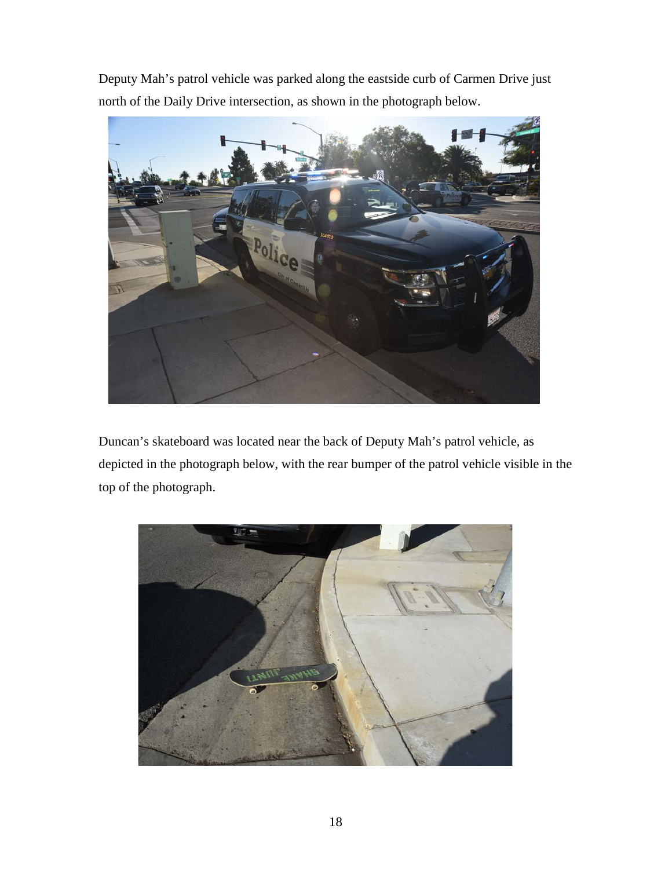Deputy Mah's patrol vehicle was parked along the eastside curb of Carmen Drive just north of the Daily Drive intersection, as shown in the photograph below.



Duncan's skateboard was located near the back of Deputy Mah's patrol vehicle, as depicted in the photograph below, with the rear bumper of the patrol vehicle visible in the top of the photograph.

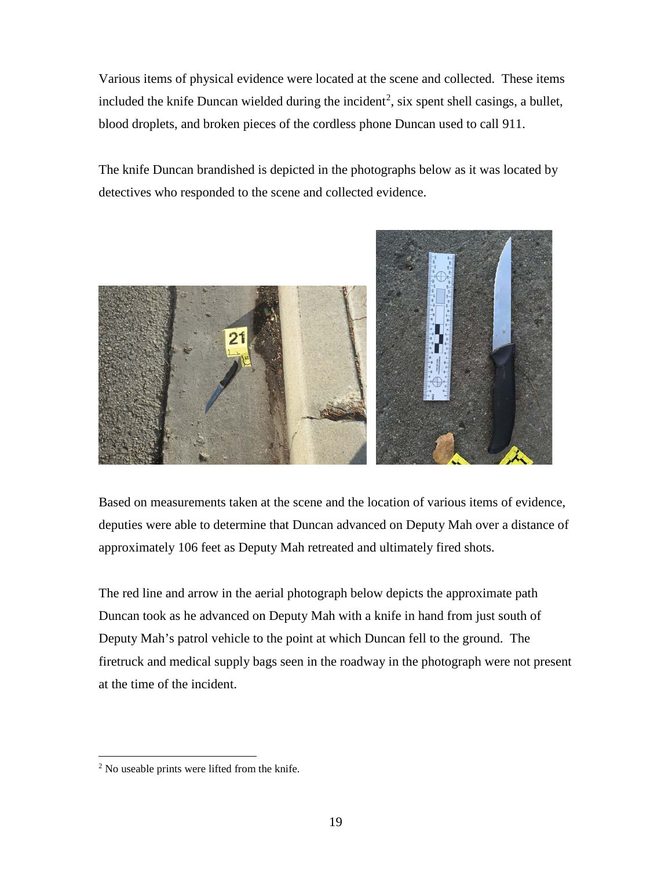Various items of physical evidence were located at the scene and collected. These items included the knife Duncan wielded during the incident<sup>[2](#page-21-0)</sup>, six spent shell casings, a bullet, blood droplets, and broken pieces of the cordless phone Duncan used to call 911.

The knife Duncan brandished is depicted in the photographs below as it was located by detectives who responded to the scene and collected evidence.



Based on measurements taken at the scene and the location of various items of evidence, deputies were able to determine that Duncan advanced on Deputy Mah over a distance of approximately 106 feet as Deputy Mah retreated and ultimately fired shots.

The red line and arrow in the aerial photograph below depicts the approximate path Duncan took as he advanced on Deputy Mah with a knife in hand from just south of Deputy Mah's patrol vehicle to the point at which Duncan fell to the ground. The firetruck and medical supply bags seen in the roadway in the photograph were not present at the time of the incident.

<span id="page-21-0"></span><sup>&</sup>lt;sup>2</sup> No useable prints were lifted from the knife.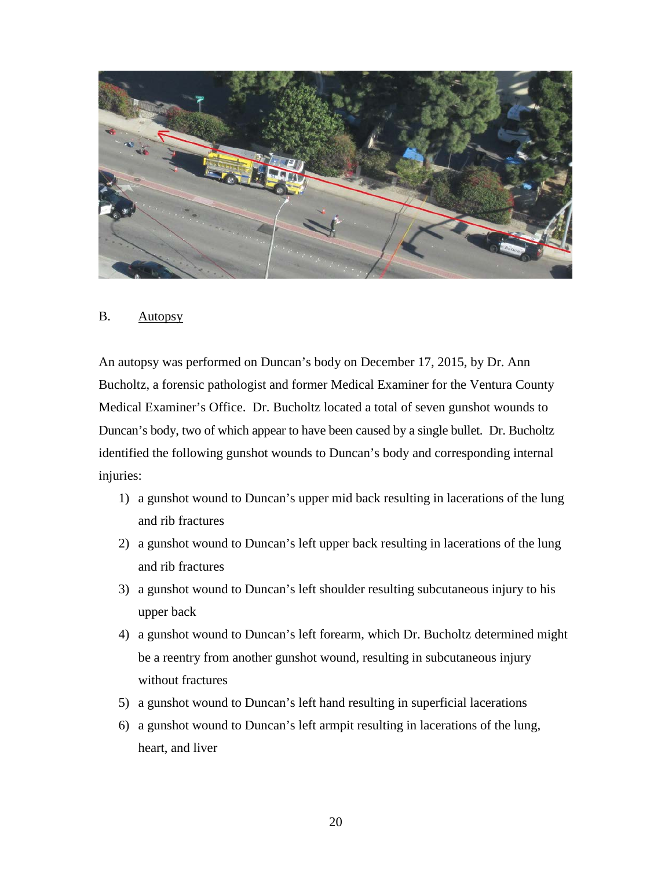

### B. Autopsy

An autopsy was performed on Duncan's body on December 17, 2015, by Dr. Ann Bucholtz, a forensic pathologist and former Medical Examiner for the Ventura County Medical Examiner's Office. Dr. Bucholtz located a total of seven gunshot wounds to Duncan's body, two of which appear to have been caused by a single bullet. Dr. Bucholtz identified the following gunshot wounds to Duncan's body and corresponding internal injuries:

- 1) a gunshot wound to Duncan's upper mid back resulting in lacerations of the lung and rib fractures
- 2) a gunshot wound to Duncan's left upper back resulting in lacerations of the lung and rib fractures
- 3) a gunshot wound to Duncan's left shoulder resulting subcutaneous injury to his upper back
- 4) a gunshot wound to Duncan's left forearm, which Dr. Bucholtz determined might be a reentry from another gunshot wound, resulting in subcutaneous injury without fractures
- 5) a gunshot wound to Duncan's left hand resulting in superficial lacerations
- 6) a gunshot wound to Duncan's left armpit resulting in lacerations of the lung, heart, and liver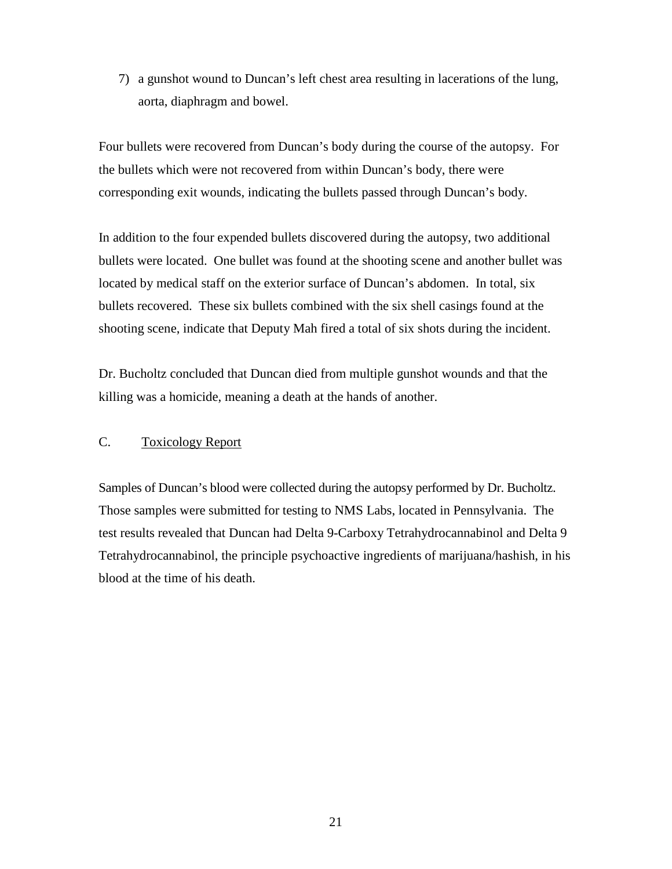7) a gunshot wound to Duncan's left chest area resulting in lacerations of the lung, aorta, diaphragm and bowel.

Four bullets were recovered from Duncan's body during the course of the autopsy. For the bullets which were not recovered from within Duncan's body, there were corresponding exit wounds, indicating the bullets passed through Duncan's body.

In addition to the four expended bullets discovered during the autopsy, two additional bullets were located. One bullet was found at the shooting scene and another bullet was located by medical staff on the exterior surface of Duncan's abdomen. In total, six bullets recovered. These six bullets combined with the six shell casings found at the shooting scene, indicate that Deputy Mah fired a total of six shots during the incident.

Dr. Bucholtz concluded that Duncan died from multiple gunshot wounds and that the killing was a homicide, meaning a death at the hands of another.

## C. Toxicology Report

Samples of Duncan's blood were collected during the autopsy performed by Dr. Bucholtz. Those samples were submitted for testing to NMS Labs, located in Pennsylvania. The test results revealed that Duncan had Delta 9-Carboxy Tetrahydrocannabinol and Delta 9 Tetrahydrocannabinol, the principle psychoactive ingredients of marijuana/hashish, in his blood at the time of his death.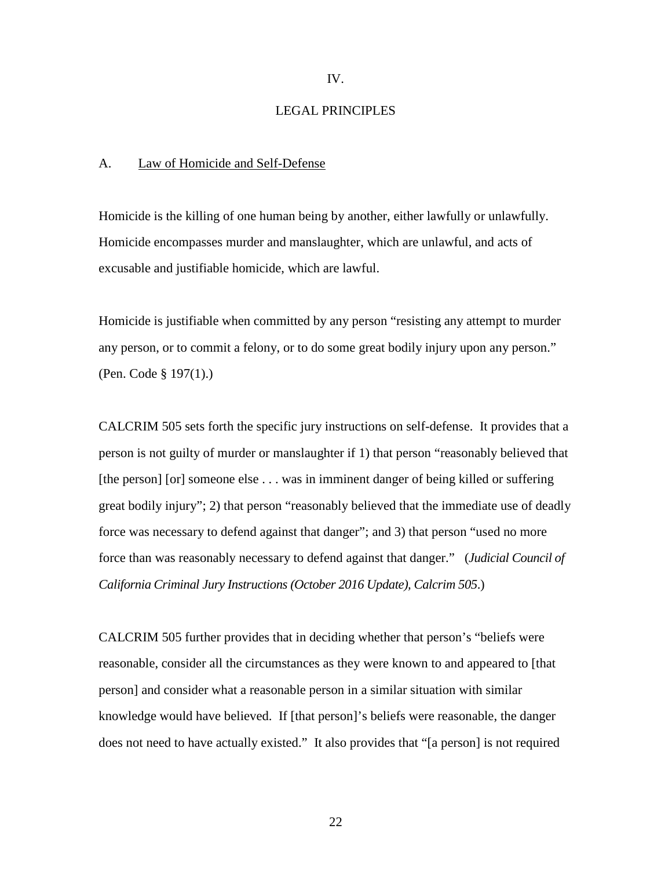IV.

#### LEGAL PRINCIPLES

#### A. Law of Homicide and Self-Defense

Homicide is the killing of one human being by another, either lawfully or unlawfully. Homicide encompasses murder and manslaughter, which are unlawful, and acts of excusable and justifiable homicide, which are lawful.

Homicide is justifiable when committed by any person "resisting any attempt to murder any person, or to commit a felony, or to do some great bodily injury upon any person." (Pen. Code § 197(1).)

CALCRIM 505 sets forth the specific jury instructions on self-defense. It provides that a person is not guilty of murder or manslaughter if 1) that person "reasonably believed that [the person] [or] someone else . . . was in imminent danger of being killed or suffering great bodily injury"; 2) that person "reasonably believed that the immediate use of deadly force was necessary to defend against that danger"; and 3) that person "used no more force than was reasonably necessary to defend against that danger." (*Judicial Council of California Criminal Jury Instructions (October 2016 Update), Calcrim 505*.)

CALCRIM 505 further provides that in deciding whether that person's "beliefs were reasonable, consider all the circumstances as they were known to and appeared to [that person] and consider what a reasonable person in a similar situation with similar knowledge would have believed. If [that person]'s beliefs were reasonable, the danger does not need to have actually existed." It also provides that "[a person] is not required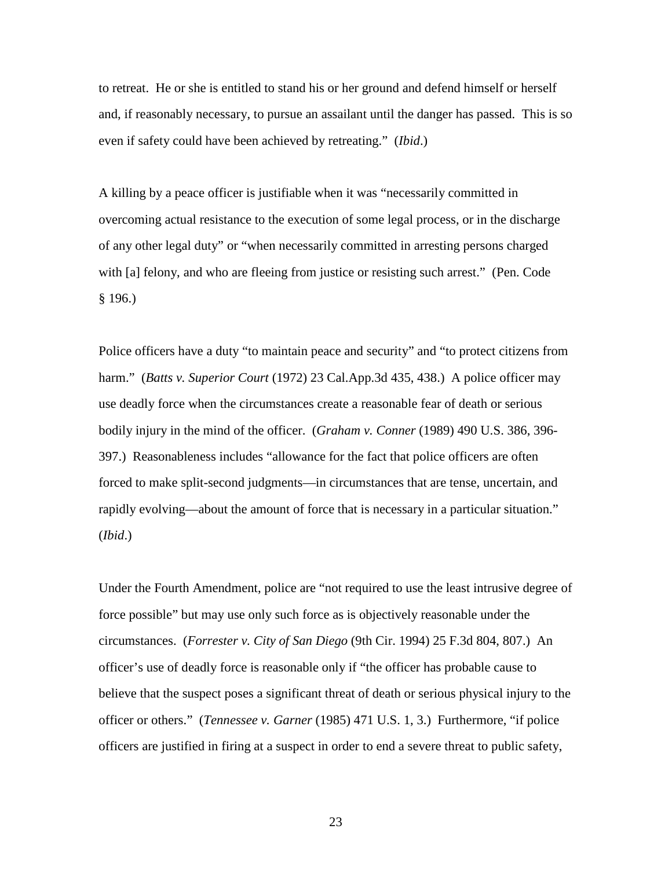to retreat. He or she is entitled to stand his or her ground and defend himself or herself and, if reasonably necessary, to pursue an assailant until the danger has passed. This is so even if safety could have been achieved by retreating." (*Ibid*.)

A killing by a peace officer is justifiable when it was "necessarily committed in overcoming actual resistance to the execution of some legal process, or in the discharge of any other legal duty" or "when necessarily committed in arresting persons charged with [a] felony, and who are fleeing from justice or resisting such arrest." (Pen. Code § 196.)

Police officers have a duty "to maintain peace and security" and "to protect citizens from harm." (*Batts v. Superior Court* (1972) 23 Cal.App.3d 435, 438.) A police officer may use deadly force when the circumstances create a reasonable fear of death or serious bodily injury in the mind of the officer. (*Graham v. Conner* (1989) 490 U.S. 386, 396- 397.) Reasonableness includes "allowance for the fact that police officers are often forced to make split-second judgments—in circumstances that are tense, uncertain, and rapidly evolving—about the amount of force that is necessary in a particular situation." (*Ibid*.)

Under the Fourth Amendment, police are "not required to use the least intrusive degree of force possible" but may use only such force as is objectively reasonable under the circumstances. (*Forrester v. City of San Diego* (9th Cir. 1994) 25 F.3d 804, 807.) An officer's use of deadly force is reasonable only if "the officer has probable cause to believe that the suspect poses a significant threat of death or serious physical injury to the officer or others." (*Tennessee v. Garner* (1985) 471 U.S. 1, 3.) Furthermore, "if police officers are justified in firing at a suspect in order to end a severe threat to public safety,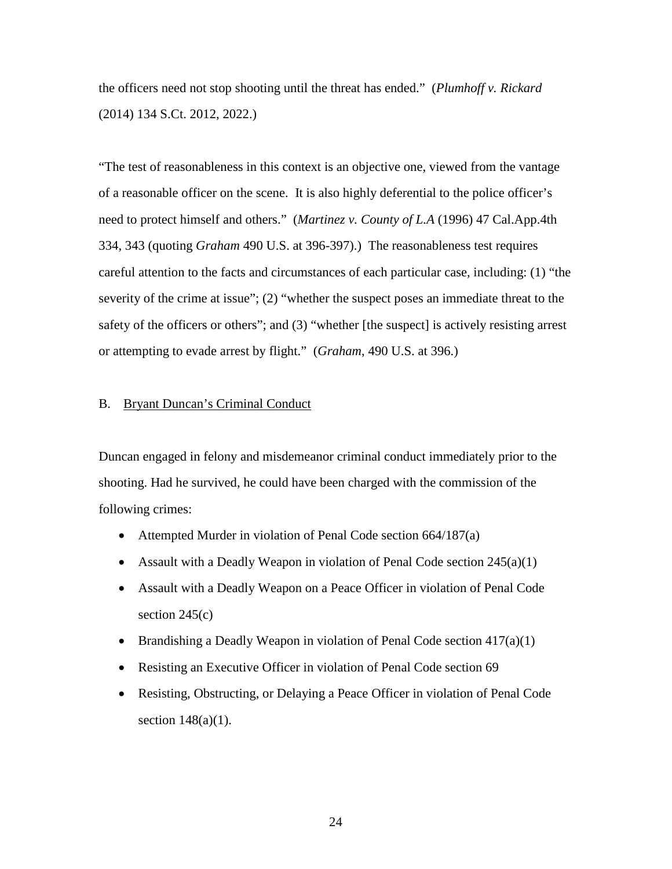the officers need not stop shooting until the threat has ended." (*Plumhoff v. Rickard* (2014) 134 S.Ct. 2012, 2022.)

"The test of reasonableness in this context is an objective one, viewed from the vantage of a reasonable officer on the scene. It is also highly deferential to the police officer's need to protect himself and others." (*Martinez v. County of L.A* (1996) 47 Cal.App.4th 334, 343 (quoting *Graham* 490 U.S. at 396-397).) The reasonableness test requires careful attention to the facts and circumstances of each particular case, including: (1) "the severity of the crime at issue"; (2) "whether the suspect poses an immediate threat to the safety of the officers or others"; and (3) "whether [the suspect] is actively resisting arrest or attempting to evade arrest by flight." (*Graham*, 490 U.S. at 396.)

## B. Bryant Duncan's Criminal Conduct

Duncan engaged in felony and misdemeanor criminal conduct immediately prior to the shooting. Had he survived, he could have been charged with the commission of the following crimes:

- Attempted Murder in violation of Penal Code section 664/187(a)
- Assault with a Deadly Weapon in violation of Penal Code section  $245(a)(1)$
- Assault with a Deadly Weapon on a Peace Officer in violation of Penal Code section 245(c)
- Brandishing a Deadly Weapon in violation of Penal Code section 417(a)(1)
- Resisting an Executive Officer in violation of Penal Code section 69
- Resisting, Obstructing, or Delaying a Peace Officer in violation of Penal Code section  $148(a)(1)$ .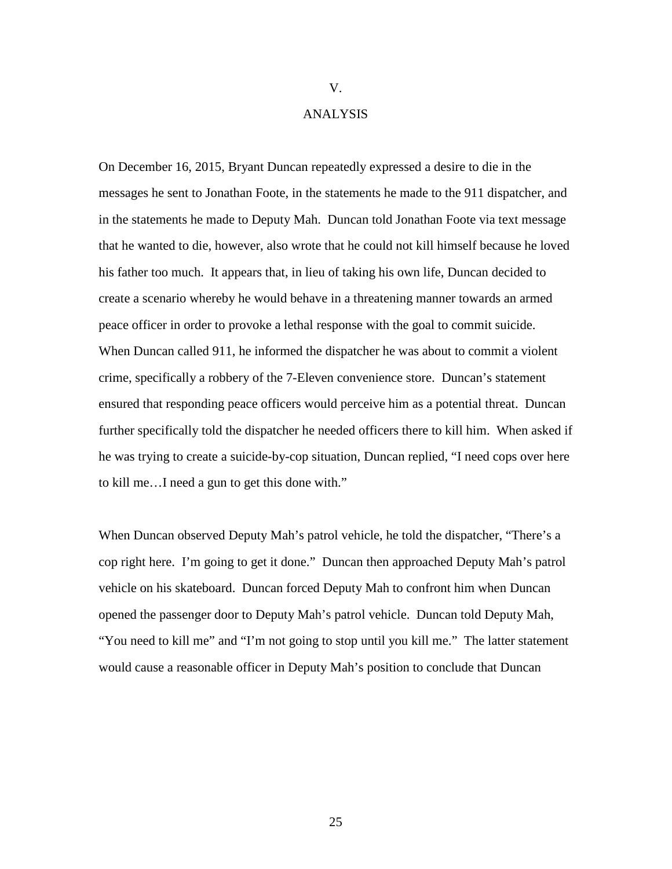#### V.

#### ANALYSIS

On December 16, 2015, Bryant Duncan repeatedly expressed a desire to die in the messages he sent to Jonathan Foote, in the statements he made to the 911 dispatcher, and in the statements he made to Deputy Mah. Duncan told Jonathan Foote via text message that he wanted to die, however, also wrote that he could not kill himself because he loved his father too much. It appears that, in lieu of taking his own life, Duncan decided to create a scenario whereby he would behave in a threatening manner towards an armed peace officer in order to provoke a lethal response with the goal to commit suicide. When Duncan called 911, he informed the dispatcher he was about to commit a violent crime, specifically a robbery of the 7-Eleven convenience store. Duncan's statement ensured that responding peace officers would perceive him as a potential threat. Duncan further specifically told the dispatcher he needed officers there to kill him. When asked if he was trying to create a suicide-by-cop situation, Duncan replied, "I need cops over here to kill me…I need a gun to get this done with."

When Duncan observed Deputy Mah's patrol vehicle, he told the dispatcher, "There's a cop right here. I'm going to get it done." Duncan then approached Deputy Mah's patrol vehicle on his skateboard. Duncan forced Deputy Mah to confront him when Duncan opened the passenger door to Deputy Mah's patrol vehicle. Duncan told Deputy Mah, "You need to kill me" and "I'm not going to stop until you kill me." The latter statement would cause a reasonable officer in Deputy Mah's position to conclude that Duncan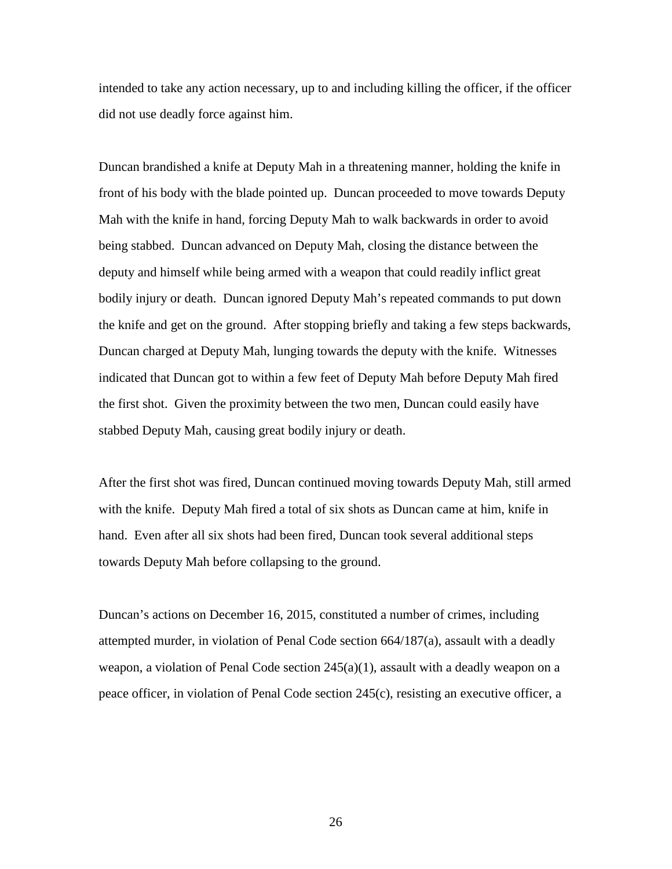intended to take any action necessary, up to and including killing the officer, if the officer did not use deadly force against him.

Duncan brandished a knife at Deputy Mah in a threatening manner, holding the knife in front of his body with the blade pointed up. Duncan proceeded to move towards Deputy Mah with the knife in hand, forcing Deputy Mah to walk backwards in order to avoid being stabbed. Duncan advanced on Deputy Mah, closing the distance between the deputy and himself while being armed with a weapon that could readily inflict great bodily injury or death. Duncan ignored Deputy Mah's repeated commands to put down the knife and get on the ground. After stopping briefly and taking a few steps backwards, Duncan charged at Deputy Mah, lunging towards the deputy with the knife. Witnesses indicated that Duncan got to within a few feet of Deputy Mah before Deputy Mah fired the first shot. Given the proximity between the two men, Duncan could easily have stabbed Deputy Mah, causing great bodily injury or death.

After the first shot was fired, Duncan continued moving towards Deputy Mah, still armed with the knife. Deputy Mah fired a total of six shots as Duncan came at him, knife in hand. Even after all six shots had been fired, Duncan took several additional steps towards Deputy Mah before collapsing to the ground.

Duncan's actions on December 16, 2015, constituted a number of crimes, including attempted murder, in violation of Penal Code section 664/187(a), assault with a deadly weapon, a violation of Penal Code section  $245(a)(1)$ , assault with a deadly weapon on a peace officer, in violation of Penal Code section 245(c), resisting an executive officer, a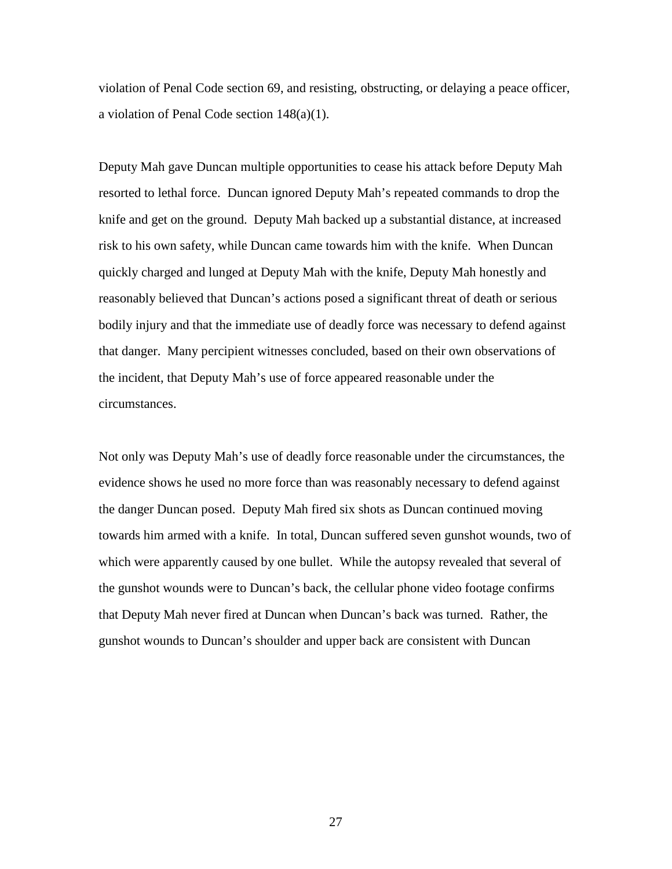violation of Penal Code section 69, and resisting, obstructing, or delaying a peace officer, a violation of Penal Code section 148(a)(1).

Deputy Mah gave Duncan multiple opportunities to cease his attack before Deputy Mah resorted to lethal force. Duncan ignored Deputy Mah's repeated commands to drop the knife and get on the ground. Deputy Mah backed up a substantial distance, at increased risk to his own safety, while Duncan came towards him with the knife. When Duncan quickly charged and lunged at Deputy Mah with the knife, Deputy Mah honestly and reasonably believed that Duncan's actions posed a significant threat of death or serious bodily injury and that the immediate use of deadly force was necessary to defend against that danger. Many percipient witnesses concluded, based on their own observations of the incident, that Deputy Mah's use of force appeared reasonable under the circumstances.

Not only was Deputy Mah's use of deadly force reasonable under the circumstances, the evidence shows he used no more force than was reasonably necessary to defend against the danger Duncan posed. Deputy Mah fired six shots as Duncan continued moving towards him armed with a knife. In total, Duncan suffered seven gunshot wounds, two of which were apparently caused by one bullet. While the autopsy revealed that several of the gunshot wounds were to Duncan's back, the cellular phone video footage confirms that Deputy Mah never fired at Duncan when Duncan's back was turned. Rather, the gunshot wounds to Duncan's shoulder and upper back are consistent with Duncan